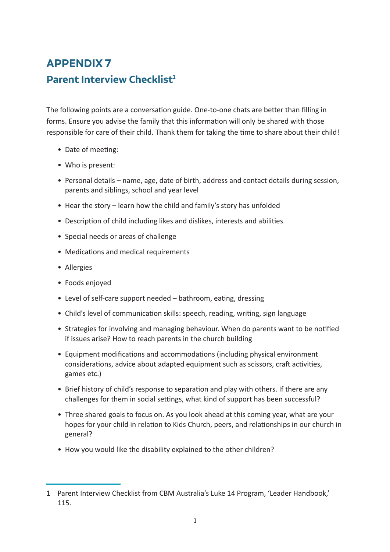## **APPENDIX 7 Parent Interview Checklist<sup>1</sup>**

The following points are a conversation guide. One-to-one chats are better than filling in forms. Ensure you advise the family that this information will only be shared with those responsible for care of their child. Thank them for taking the time to share about their child!

- Date of meeting:
- Who is present:
- Personal details name, age, date of birth, address and contact details during session, parents and siblings, school and year level
- Hear the story learn how the child and family's story has unfolded
- Description of child including likes and dislikes, interests and abilities
- Special needs or areas of challenge
- Medications and medical requirements
- Allergies
- Foods enjoyed
- Level of self-care support needed bathroom, eating, dressing
- Child's level of communication skills: speech, reading, writing, sign language
- Strategies for involving and managing behaviour. When do parents want to be notified if issues arise? How to reach parents in the church building
- Equipment modifications and accommodations (including physical environment considerations, advice about adapted equipment such as scissors, craft activities, games etc.)
- Brief history of child's response to separation and play with others. If there are any challenges for them in social settings, what kind of support has been successful?
- Three shared goals to focus on. As you look ahead at this coming year, what are your hopes for your child in relation to Kids Church, peers, and relationships in our church in general?
- How you would like the disability explained to the other children?

<sup>1</sup> Parent Interview Checklist from CBM Australia's Luke 14 Program, 'Leader Handbook,' 115.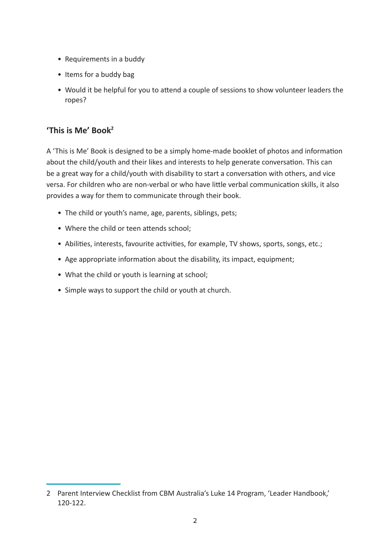- Requirements in a buddy
- Items for a buddy bag
- Would it be helpful for you to attend a couple of sessions to show volunteer leaders the ropes?

## **'This is Me' Book2**

A 'This is Me' Book is designed to be a simply home-made booklet of photos and information about the child/youth and their likes and interests to help generate conversation. This can be a great way for a child/youth with disability to start a conversation with others, and vice versa. For children who are non-verbal or who have little verbal communication skills, it also provides a way for them to communicate through their book.

- The child or youth's name, age, parents, siblings, pets;
- Where the child or teen attends school;
- Abilities, interests, favourite activities, for example, TV shows, sports, songs, etc.;
- Age appropriate information about the disability, its impact, equipment;
- What the child or youth is learning at school;
- Simple ways to support the child or youth at church.

<sup>2</sup> Parent Interview Checklist from CBM Australia's Luke 14 Program, 'Leader Handbook,' 120-122.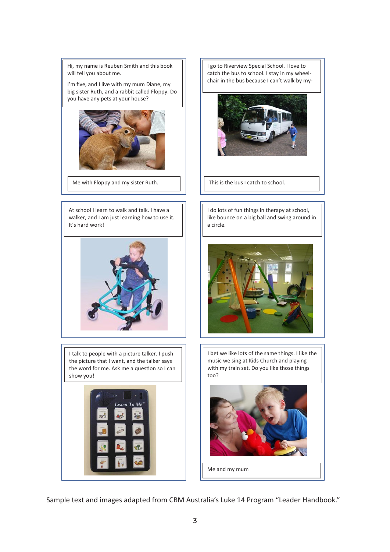Hi, my name is Reuben Smith and this book will tell you about me.

big sister Ruth, and a rabbit called Floppy. Do  $\Box$ I'm five, and I live with my mum Diane, my



Me with Floppy and my sister Ruth.

At school I learn to walk and talk. I have a walker, and I am just learning how to use it. It's hard work!



I talk to people with a picture talker. I push  $\|\cdot\|$  I bet we like lots of the same thing Church and playing with my train set. Do you like those things too? the picture that I want, and the talker says the word for me. Ask me a question so I can  $\begin{bmatrix} \vert & \vert & \vert \end{bmatrix}$  with my train set. Do you like those show youl show you!



Hy name is Reuben Smith and this book and the busto school. I stay in my wheel-<br>I catch the bus to school. I stay in my wheelfive, and I live with my mum Diane, my  $\|\cdot\|$  chair in the bus because I can't walk by my-I go to Riverview Special School. I love to



This is the bus I catch to school.

At school I learn to walk and talk. I have a walker, and I am just learning

ker, and I am just learning how to use it.  $\| \cdot \|$  like bounce on a big ball and swing around in hard work! is a blue shirts and overall  $\begin{bmatrix} 1 & 0 \end{bmatrix}$  a circle. I do lots of fun things in therapy at school, a circle.



I bet we like lots of the same things. I like the music we sing at Kids Church and playing with my train set. Do you like those things too?



Me and my mum

Sample text and images adapted from CBM Australia's Luke 14 Program "Leader Handbook."